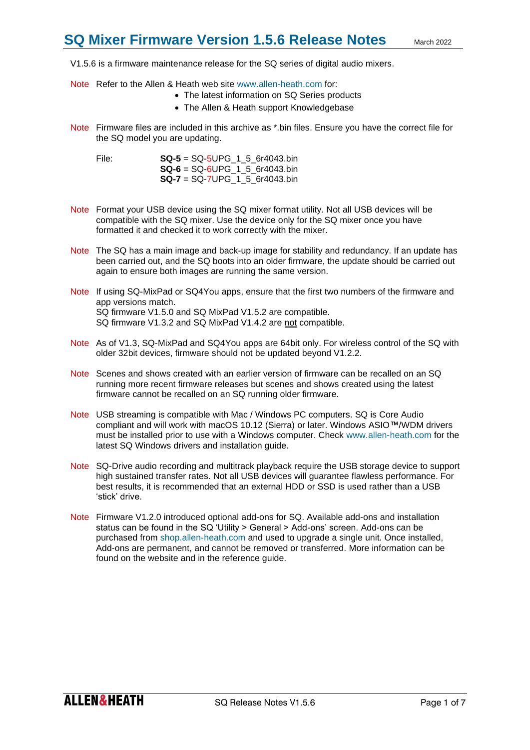V1.5.6 is a firmware maintenance release for the SQ series of digital audio mixers.

- Note Refer to the Allen & Heath web site [www.allen-heath.com](http://www.allen-heath.com/) for:
	- The latest information on SQ Series products
	- The Allen & Heath support Knowledgebase
- Note Firmware files are included in this archive as \*.bin files. Ensure you have the correct file for the SQ model you are updating.

File: **SQ-5** = SQ-5UPG\_1\_5\_6r4043.bin **SQ-6** = SQ-6UPG\_1\_5\_6r4043.bin **SQ-7** = SQ-7UPG\_1\_5\_6r4043.bin

- Note Format your USB device using the SQ mixer format utility. Not all USB devices will be compatible with the SQ mixer. Use the device only for the SQ mixer once you have formatted it and checked it to work correctly with the mixer.
- Note The SQ has a main image and back-up image for stability and redundancy. If an update has been carried out, and the SQ boots into an older firmware, the update should be carried out again to ensure both images are running the same version.
- Note If using SQ-MixPad or SQ4You apps, ensure that the first two numbers of the firmware and app versions match. SQ firmware V1.5.0 and SQ MixPad V1.5.2 are compatible. SQ firmware V1.3.2 and SQ MixPad V1.4.2 are not compatible.
- Note As of V1.3, SQ-MixPad and SQ4You apps are 64bit only. For wireless control of the SQ with older 32bit devices, firmware should not be updated beyond V1.2.2.
- Note Scenes and shows created with an earlier version of firmware can be recalled on an SQ running more recent firmware releases but scenes and shows created using the latest firmware cannot be recalled on an SQ running older firmware.
- Note USB streaming is compatible with Mac / Windows PC computers. SQ is Core Audio compliant and will work with macOS 10.12 (Sierra) or later. Windows ASIO™/WDM drivers must be installed prior to use with a Windows computer. Check [www.allen-heath.com](http://www.allen-heath.com/) for the latest SQ Windows drivers and installation guide.
- Note SQ-Drive audio recording and multitrack playback require the USB storage device to support high sustained transfer rates. Not all USB devices will guarantee flawless performance. For best results, it is recommended that an external HDD or SSD is used rather than a USB 'stick' drive.
- Note Firmware V1.2.0 introduced optional add-ons for SQ. Available add-ons and installation status can be found in the SQ 'Utility > General > Add-ons' screen. Add-ons can be purchased from [shop.allen-heath.com](http://shop.allen-heath.com/) and used to upgrade a single unit. Once installed, Add-ons are permanent, and cannot be removed or transferred. More information can be found on the website and in the reference guide.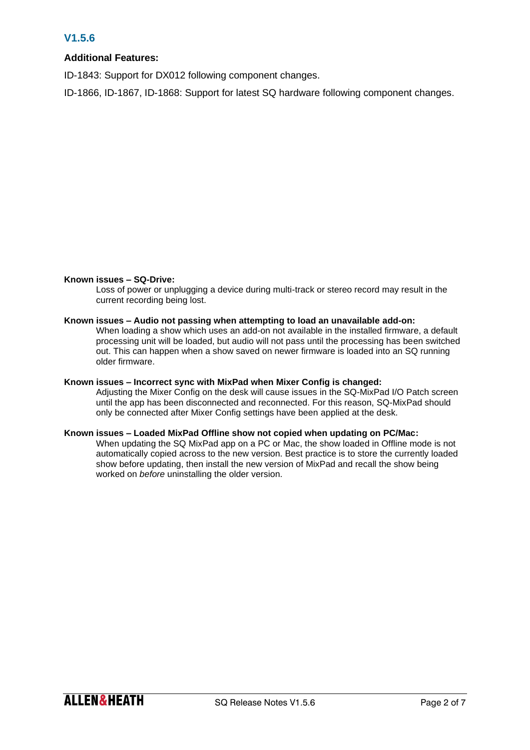# **V1.5.6**

# **Additional Features:**

ID-1843: Support for DX012 following component changes.

ID-1866, ID-1867, ID-1868: Support for latest SQ hardware following component changes.

# **Known issues – SQ-Drive:**

Loss of power or unplugging a device during multi-track or stereo record may result in the current recording being lost.

# **Known issues – Audio not passing when attempting to load an unavailable add-on:**

When loading a show which uses an add-on not available in the installed firmware, a default processing unit will be loaded, but audio will not pass until the processing has been switched out. This can happen when a show saved on newer firmware is loaded into an SQ running older firmware.

## **Known issues – Incorrect sync with MixPad when Mixer Config is changed:**

Adjusting the Mixer Config on the desk will cause issues in the SQ-MixPad I/O Patch screen until the app has been disconnected and reconnected. For this reason, SQ-MixPad should only be connected after Mixer Config settings have been applied at the desk.

# **Known issues – Loaded MixPad Offline show not copied when updating on PC/Mac:**

When updating the SQ MixPad app on a PC or Mac, the show loaded in Offline mode is not automatically copied across to the new version. Best practice is to store the currently loaded show before updating, then install the new version of MixPad and recall the show being worked on *before* uninstalling the older version.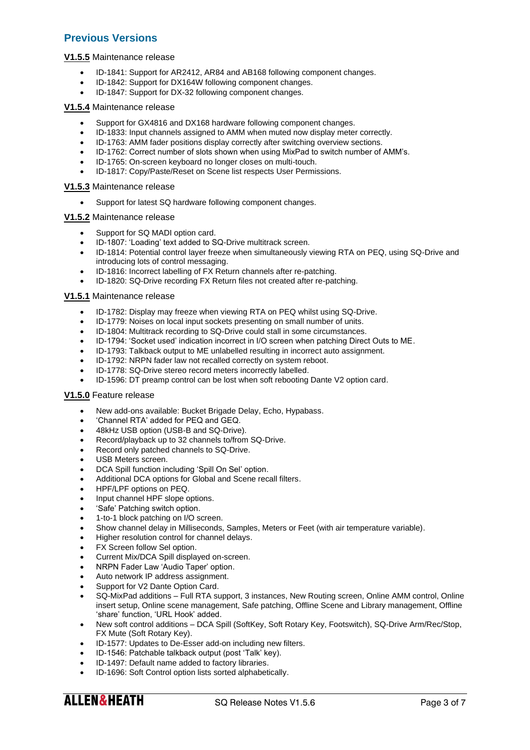# **Previous Versions**

## **V1.5.5** Maintenance release

- ID-1841: Support for AR2412, AR84 and AB168 following component changes.
- ID-1842: Support for DX164W following component changes.
- ID-1847: Support for DX-32 following component changes.

#### **V1.5.4** Maintenance release

- Support for GX4816 and DX168 hardware following component changes.
- ID-1833: Input channels assigned to AMM when muted now display meter correctly.
- ID-1763: AMM fader positions display correctly after switching overview sections.
- ID-1762: Correct number of slots shown when using MixPad to switch number of AMM's.
- ID-1765: On-screen keyboard no longer closes on multi-touch.
- ID-1817: Copy/Paste/Reset on Scene list respects User Permissions.

#### **V1.5.3** Maintenance release

Support for latest SQ hardware following component changes.

#### **V1.5.2** Maintenance release

- Support for SQ MADI option card.
- ID-1807: 'Loading' text added to SQ-Drive multitrack screen.
- ID-1814: Potential control layer freeze when simultaneously viewing RTA on PEQ, using SQ-Drive and introducing lots of control messaging.
- ID-1816: Incorrect labelling of FX Return channels after re-patching.
- ID-1820: SQ-Drive recording FX Return files not created after re-patching.

#### **V1.5.1** Maintenance release

- ID-1782: Display may freeze when viewing RTA on PEQ whilst using SQ-Drive.
- ID-1779: Noises on local input sockets presenting on small number of units.
- ID-1804: Multitrack recording to SQ-Drive could stall in some circumstances.
- ID-1794: 'Socket used' indication incorrect in I/O screen when patching Direct Outs to ME.
- ID-1793: Talkback output to ME unlabelled resulting in incorrect auto assignment.
- ID-1792: NRPN fader law not recalled correctly on system reboot.
- ID-1778: SQ-Drive stereo record meters incorrectly labelled.
- ID-1596: DT preamp control can be lost when soft rebooting Dante V2 option card.

## **V1.5.0** Feature release

- New add-ons available: Bucket Brigade Delay, Echo, Hypabass.
- 'Channel RTA' added for PEQ and GEQ.
- 48kHz USB option (USB-B and SQ-Drive).
- Record/playback up to 32 channels to/from SQ-Drive.
- Record only patched channels to SQ-Drive.
- USB Meters screen.
- DCA Spill function including 'Spill On Sel' option.
- Additional DCA options for Global and Scene recall filters.
- HPF/LPF options on PEQ.
- Input channel HPF slope options.
- 'Safe' Patching switch option.
- 1-to-1 block patching on I/O screen.
- Show channel delay in Milliseconds, Samples, Meters or Feet (with air temperature variable).
- Higher resolution control for channel delays.
- FX Screen follow Sel option.
- Current Mix/DCA Spill displayed on-screen.
- NRPN Fader Law 'Audio Taper' option.
- Auto network IP address assignment.
- Support for V2 Dante Option Card.
- SQ-MixPad additions Full RTA support, 3 instances, New Routing screen, Online AMM control, Online insert setup, Online scene management, Safe patching, Offline Scene and Library management, Offline 'share' function, 'URL Hook' added.
- New soft control additions DCA Spill (SoftKey, Soft Rotary Key, Footswitch), SQ-Drive Arm/Rec/Stop, FX Mute (Soft Rotary Key).
- ID-1577: Updates to De-Esser add-on including new filters.
- ID-1546: Patchable talkback output (post 'Talk' key).
- ID-1497: Default name added to factory libraries.
- ID-1696: Soft Control option lists sorted alphabetically.

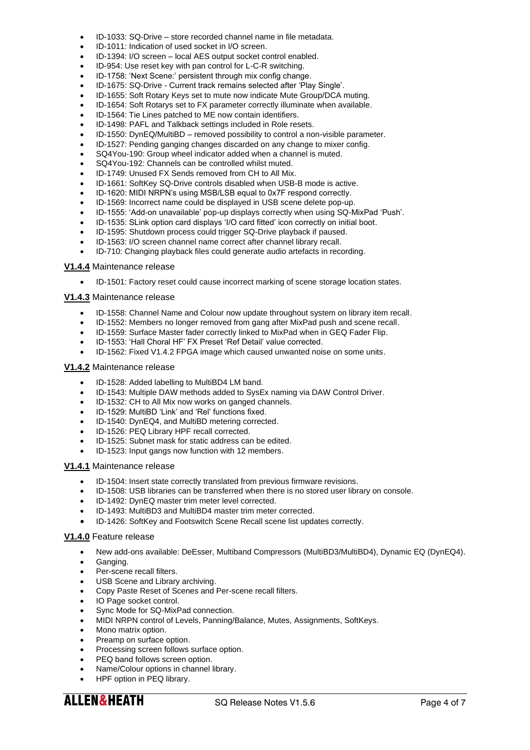- ID-1033: SQ-Drive store recorded channel name in file metadata.
- ID-1011: Indication of used socket in I/O screen.
- ID-1394: I/O screen local AES output socket control enabled.
- ID-954: Use reset key with pan control for L-C-R switching.
- ID-1758: 'Next Scene:' persistent through mix config change.
- ID-1675: SQ-Drive Current track remains selected after 'Play Single'.
- ID-1655: Soft Rotary Keys set to mute now indicate Mute Group/DCA muting.
- ID-1654: Soft Rotarys set to FX parameter correctly illuminate when available.
- ID-1564: Tie Lines patched to ME now contain identifiers.
- ID-1498: PAFL and Talkback settings included in Role resets.
- ID-1550: DynEQ/MultiBD removed possibility to control a non-visible parameter.
- ID-1527: Pending ganging changes discarded on any change to mixer config.
- SQ4You-190: Group wheel indicator added when a channel is muted.
- SQ4You-192: Channels can be controlled whilst muted.
- ID-1749: Unused FX Sends removed from CH to All Mix.
- ID-1661: SoftKey SQ-Drive controls disabled when USB-B mode is active.
- ID-1620: MIDI NRPN's using MSB/LSB equal to 0x7F respond correctly.
- ID-1569: Incorrect name could be displayed in USB scene delete pop-up.
- ID-1555: 'Add-on unavailable' pop-up displays correctly when using SQ-MixPad 'Push'.
- ID-1535: SLink option card displays 'I/O card fitted' icon correctly on initial boot.
- ID-1595: Shutdown process could trigger SQ-Drive playback if paused.
- ID-1563: I/O screen channel name correct after channel library recall.
- ID-710: Changing playback files could generate audio artefacts in recording.

#### **V1.4.4** Maintenance release

• ID-1501: Factory reset could cause incorrect marking of scene storage location states.

#### **V1.4.3** Maintenance release

- ID-1558: Channel Name and Colour now update throughout system on library item recall.
- ID-1552: Members no longer removed from gang after MixPad push and scene recall.
- ID-1559: Surface Master fader correctly linked to MixPad when in GEQ Fader Flip.
- ID-1553: 'Hall Choral HF' FX Preset 'Ref Detail' value corrected.
- ID-1562: Fixed V1.4.2 FPGA image which caused unwanted noise on some units.

#### **V1.4.2** Maintenance release

- ID-1528: Added labelling to MultiBD4 LM band.
- ID-1543: Multiple DAW methods added to SysEx naming via DAW Control Driver.
- ID-1532: CH to All Mix now works on ganged channels.
- ID-1529: MultiBD 'Link' and 'Rel' functions fixed.
- ID-1540: DynEQ4, and MultiBD metering corrected.
- ID-1526: PEQ Library HPF recall corrected.
- ID-1525: Subnet mask for static address can be edited.
- ID-1523: Input gangs now function with 12 members.

## **V1.4.1** Maintenance release

- ID-1504: Insert state correctly translated from previous firmware revisions.
- ID-1508: USB libraries can be transferred when there is no stored user library on console.
- ID-1492: DynEQ master trim meter level corrected.
- ID-1493: MultiBD3 and MultiBD4 master trim meter corrected.
- ID-1426: SoftKey and Footswitch Scene Recall scene list updates correctly.

# **V1.4.0** Feature release

- New add-ons available: DeEsser, Multiband Compressors (MultiBD3/MultiBD4), Dynamic EQ (DynEQ4).
- Ganging.
- Per-scene recall filters.
- USB Scene and Library archiving.
- Copy Paste Reset of Scenes and Per-scene recall filters.
- IO Page socket control.
- Sync Mode for SQ-MixPad connection.
- MIDI NRPN control of Levels, Panning/Balance, Mutes, Assignments, SoftKeys.
- Mono matrix option.
- Preamp on surface option.
- Processing screen follows surface option.
- PEQ band follows screen option.
- Name/Colour options in channel library.
- HPF option in PEQ library.

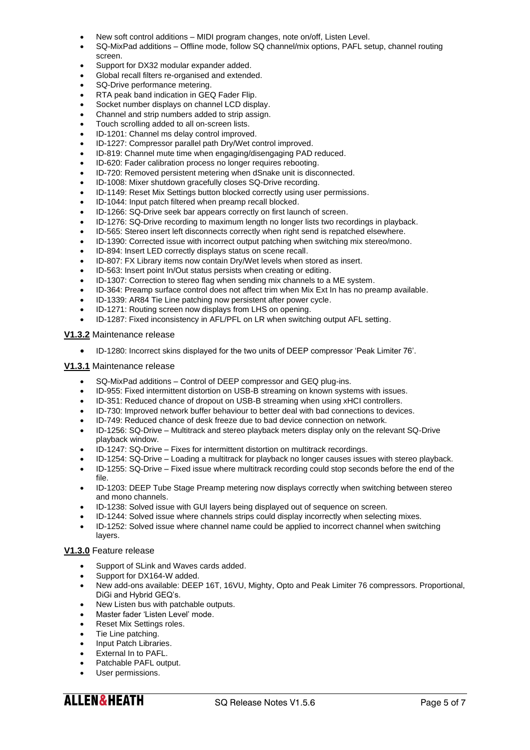- New soft control additions MIDI program changes, note on/off, Listen Level.
- SQ-MixPad additions Offline mode, follow SQ channel/mix options, PAFL setup, channel routing screen.
- Support for DX32 modular expander added.
- Global recall filters re-organised and extended.
- SQ-Drive performance metering.
- RTA peak band indication in GEQ Fader Flip.
- Socket number displays on channel LCD display.
- Channel and strip numbers added to strip assign.
- Touch scrolling added to all on-screen lists.
- ID-1201: Channel ms delay control improved.
- ID-1227: Compressor parallel path Dry/Wet control improved.
- ID-819: Channel mute time when engaging/disengaging PAD reduced.
- ID-620: Fader calibration process no longer requires rebooting.
- ID-720: Removed persistent metering when dSnake unit is disconnected.
- ID-1008: Mixer shutdown gracefully closes SQ-Drive recording.
- ID-1149: Reset Mix Settings button blocked correctly using user permissions.
- ID-1044: Input patch filtered when preamp recall blocked.
- ID-1266: SQ-Drive seek bar appears correctly on first launch of screen.
- ID-1276: SQ-Drive recording to maximum length no longer lists two recordings in playback.
- ID-565: Stereo insert left disconnects correctly when right send is repatched elsewhere.
- ID-1390: Corrected issue with incorrect output patching when switching mix stereo/mono.
- ID-894: Insert LED correctly displays status on scene recall.
- ID-807: FX Library items now contain Dry/Wet levels when stored as insert.
- ID-563: Insert point In/Out status persists when creating or editing.
- ID-1307: Correction to stereo flag when sending mix channels to a ME system.
- ID-364: Preamp surface control does not affect trim when Mix Ext In has no preamp available.
- ID-1339: AR84 Tie Line patching now persistent after power cycle.
- ID-1271: Routing screen now displays from LHS on opening.
- ID-1287: Fixed inconsistency in AFL/PFL on LR when switching output AFL setting.

## **V1.3.2** Maintenance release

• ID-1280: Incorrect skins displayed for the two units of DEEP compressor 'Peak Limiter 76'.

#### **V1.3.1** Maintenance release

- SQ-MixPad additions Control of DEEP compressor and GEQ plug-ins.
- ID-955: Fixed intermittent distortion on USB-B streaming on known systems with issues.
- ID-351: Reduced chance of dropout on USB-B streaming when using xHCI controllers.
- ID-730: Improved network buffer behaviour to better deal with bad connections to devices.
- ID-749: Reduced chance of desk freeze due to bad device connection on network.
- ID-1256: SQ-Drive Multitrack and stereo playback meters display only on the relevant SQ-Drive playback window.
- ID-1247: SQ-Drive Fixes for intermittent distortion on multitrack recordings.
- ID-1254: SQ-Drive Loading a multitrack for playback no longer causes issues with stereo playback.
- ID-1255: SQ-Drive Fixed issue where multitrack recording could stop seconds before the end of the file.
- ID-1203: DEEP Tube Stage Preamp metering now displays correctly when switching between stereo and mono channels.
- ID-1238: Solved issue with GUI layers being displayed out of sequence on screen.
- ID-1244: Solved issue where channels strips could display incorrectly when selecting mixes.
- ID-1252: Solved issue where channel name could be applied to incorrect channel when switching layers.

## **V1.3.0** Feature release

- Support of SLink and Waves cards added.
- Support for DX164-W added.
- New add-ons available: DEEP 16T, 16VU, Mighty, Opto and Peak Limiter 76 compressors. Proportional, DiGi and Hybrid GEQ's.
- New Listen bus with patchable outputs.
- Master fader 'Listen Level' mode.
- Reset Mix Settings roles.
- Tie Line patching.
- Input Patch Libraries.
- External In to PAFL.
- Patchable PAFL output.
- User permissions.

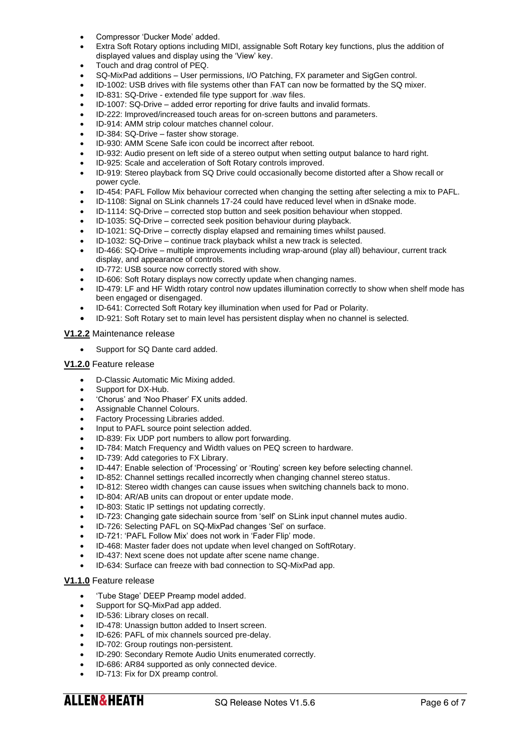- Compressor 'Ducker Mode' added.
- Extra Soft Rotary options including MIDI, assignable Soft Rotary key functions, plus the addition of displayed values and display using the 'View' key.
- Touch and drag control of PEQ.
- SQ-MixPad additions User permissions, I/O Patching, FX parameter and SigGen control.
- ID-1002: USB drives with file systems other than FAT can now be formatted by the SQ mixer.
- ID-831: SQ-Drive extended file type support for .wav files.
- ID-1007: SQ-Drive added error reporting for drive faults and invalid formats.
- ID-222: Improved/increased touch areas for on-screen buttons and parameters.
- ID-914: AMM strip colour matches channel colour.
- ID-384: SQ-Drive faster show storage.
- ID-930: AMM Scene Safe icon could be incorrect after reboot.
- ID-932: Audio present on left side of a stereo output when setting output balance to hard right.
- ID-925: Scale and acceleration of Soft Rotary controls improved.
- ID-919: Stereo playback from SQ Drive could occasionally become distorted after a Show recall or power cycle.
- ID-454: PAFL Follow Mix behaviour corrected when changing the setting after selecting a mix to PAFL.
- ID-1108: Signal on SLink channels 17-24 could have reduced level when in dSnake mode.
- ID-1114: SQ-Drive corrected stop button and seek position behaviour when stopped.
- ID-1035: SQ-Drive corrected seek position behaviour during playback.
- ID-1021: SQ-Drive correctly display elapsed and remaining times whilst paused.
- ID-1032: SQ-Drive continue track playback whilst a new track is selected.
- ID-466: SQ-Drive multiple improvements including wrap-around (play all) behaviour, current track display, and appearance of controls.
- ID-772: USB source now correctly stored with show.
- ID-606: Soft Rotary displays now correctly update when changing names.
- ID-479: LF and HF Width rotary control now updates illumination correctly to show when shelf mode has been engaged or disengaged.
- ID-641: Corrected Soft Rotary key illumination when used for Pad or Polarity.
- ID-921: Soft Rotary set to main level has persistent display when no channel is selected.

## **V1.2.2** Maintenance release

Support for SQ Dante card added.

#### **V1.2.0** Feature release

- D-Classic Automatic Mic Mixing added.
- Support for DX-Hub.
- 'Chorus' and 'Noo Phaser' FX units added.
- Assignable Channel Colours.
- Factory Processing Libraries added.
- Input to PAFL source point selection added.
- ID-839: Fix UDP port numbers to allow port forwarding.
- ID-784: Match Frequency and Width values on PEQ screen to hardware.
- ID-739: Add categories to FX Library.
- ID-447: Enable selection of 'Processing' or 'Routing' screen key before selecting channel.
- ID-852: Channel settings recalled incorrectly when changing channel stereo status.
- ID-812: Stereo width changes can cause issues when switching channels back to mono.
- ID-804: AR/AB units can dropout or enter update mode.
- ID-803: Static IP settings not updating correctly.
- ID-723: Changing gate sidechain source from 'self' on SLink input channel mutes audio.
- ID-726: Selecting PAFL on SQ-MixPad changes 'Sel' on surface.
- ID-721: 'PAFL Follow Mix' does not work in 'Fader Flip' mode.
- ID-468: Master fader does not update when level changed on SoftRotary.
- ID-437: Next scene does not update after scene name change.
- ID-634: Surface can freeze with bad connection to SQ-MixPad app.

# **V1.1.0** Feature release

- 'Tube Stage' DEEP Preamp model added.
- Support for SQ-MixPad app added.
- ID-536: Library closes on recall.
- ID-478: Unassign button added to Insert screen.
- ID-626: PAFL of mix channels sourced pre-delay.
- ID-702: Group routings non-persistent.
- ID-290: Secondary Remote Audio Units enumerated correctly.
- ID-686: AR84 supported as only connected device.
- ID-713: Fix for DX preamp control.